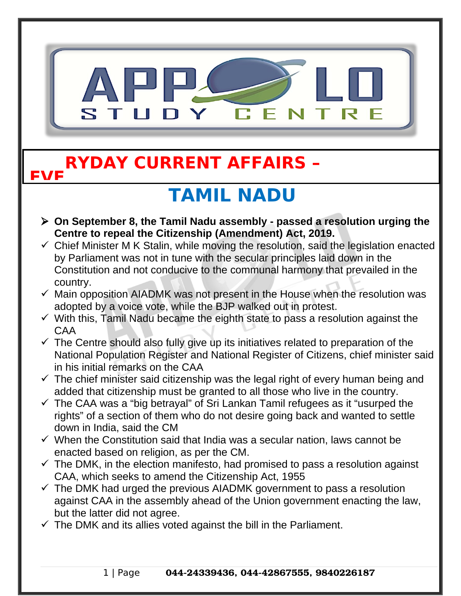

#### **EVE RYDAY CURRENT AFFAIRS –**

# **TAMIL NADU**

- **On September 8, the Tamil Nadu assembly passed a resolution urging the Centre to repeal the Citizenship (Amendment) Act, 2019.**
- $\checkmark$  Chief Minister M K Stalin, while moving the resolution, said the legislation enacted by Parliament was not in tune with the secular principles laid down in the Constitution and not conducive to the communal harmony that prevailed in the country.
- $\checkmark$  Main opposition AIADMK was not present in the House when the resolution was adopted by a voice vote, while the BJP walked out in protest.
- $\checkmark$  With this, Tamil Nadu became the eighth state to pass a resolution against the CAA
- $\checkmark$  The Centre should also fully give up its initiatives related to preparation of the National Population Register and National Register of Citizens, chief minister said in his initial remarks on the CAA
- $\checkmark$  The chief minister said citizenship was the legal right of every human being and added that citizenship must be granted to all those who live in the country.
- $\checkmark$  The CAA was a "big betrayal" of Sri Lankan Tamil refugees as it "usurped the rights" of a section of them who do not desire going back and wanted to settle down in India, said the CM
- $\checkmark$  When the Constitution said that India was a secular nation, laws cannot be enacted based on religion, as per the CM.
- $\checkmark$  The DMK, in the election manifesto, had promised to pass a resolution against CAA, which seeks to amend the Citizenship Act, 1955
- $\checkmark$  The DMK had urged the previous AIADMK government to pass a resolution against CAA in the assembly ahead of the Union government enacting the law, but the latter did not agree.
- $\checkmark$  The DMK and its allies voted against the bill in the Parliament.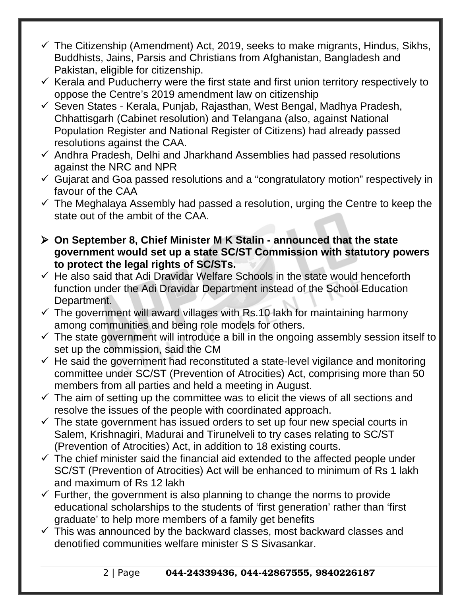- $\checkmark$  The Citizenship (Amendment) Act, 2019, seeks to make migrants, Hindus, Sikhs, Buddhists, Jains, Parsis and Christians from Afghanistan, Bangladesh and Pakistan, eligible for citizenship.
- $\checkmark$  Kerala and Puducherry were the first state and first union territory respectively to oppose the Centre's 2019 amendment law on citizenship
- $\checkmark$  Seven States Kerala, Punjab, Rajasthan, West Bengal, Madhya Pradesh, Chhattisgarh (Cabinet resolution) and Telangana (also, against National Population Register and National Register of Citizens) had already passed resolutions against the CAA.
- $\checkmark$  Andhra Pradesh, Delhi and Jharkhand Assemblies had passed resolutions against the NRC and NPR
- $\checkmark$  Gujarat and Goa passed resolutions and a "congratulatory motion" respectively in favour of the CAA
- $\checkmark$  The Meghalaya Assembly had passed a resolution, urging the Centre to keep the state out of the ambit of the CAA.
- **On September 8, Chief Minister M K Stalin announced that the state government would set up a state SC/ST Commission with statutory powers to protect the legal rights of SC/STs.**
- $\checkmark$  He also said that Adi Dravidar Welfare Schools in the state would henceforth function under the Adi Dravidar Department instead of the School Education Department.
- $\checkmark$  The government will award villages with Rs.10 lakh for maintaining harmony among communities and being role models for others.
- $\checkmark$  The state government will introduce a bill in the ongoing assembly session itself to set up the commission, said the CM
- $\checkmark$  He said the government had reconstituted a state-level vigilance and monitoring committee under SC/ST (Prevention of Atrocities) Act, comprising more than 50 members from all parties and held a meeting in August.
- $\checkmark$  The aim of setting up the committee was to elicit the views of all sections and resolve the issues of the people with coordinated approach.
- $\checkmark$  The state government has issued orders to set up four new special courts in Salem, Krishnagiri, Madurai and Tirunelveli to try cases relating to SC/ST (Prevention of Atrocities) Act, in addition to 18 existing courts.
- $\checkmark$  The chief minister said the financial aid extended to the affected people under SC/ST (Prevention of Atrocities) Act will be enhanced to minimum of Rs 1 lakh and maximum of Rs 12 lakh
- $\checkmark$  Further, the government is also planning to change the norms to provide educational scholarships to the students of 'first generation' rather than 'first graduate' to help more members of a family get benefits
- $\checkmark$  This was announced by the backward classes, most backward classes and denotified communities welfare minister S S Sivasankar.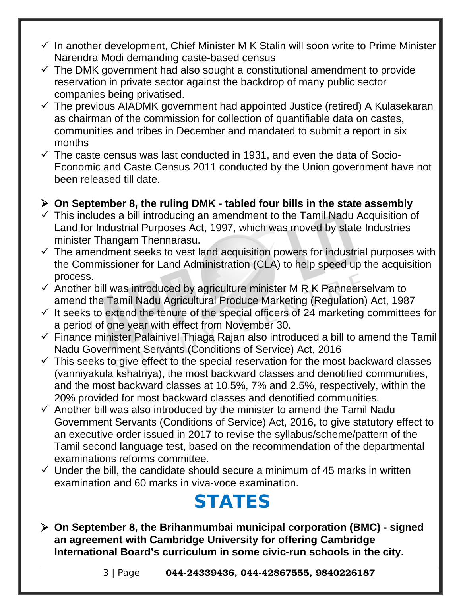- $\checkmark$  In another development, Chief Minister M K Stalin will soon write to Prime Minister Narendra Modi demanding caste-based census
- $\checkmark$  The DMK government had also sought a constitutional amendment to provide reservation in private sector against the backdrop of many public sector companies being privatised.
- $\checkmark$  The previous AIADMK government had appointed Justice (retired) A Kulasekaran as chairman of the commission for collection of quantifiable data on castes, communities and tribes in December and mandated to submit a report in six months
- $\checkmark$  The caste census was last conducted in 1931, and even the data of Socio-Economic and Caste Census 2011 conducted by the Union government have not been released till date.

#### **On September 8, the ruling DMK - tabled four bills in the state assembly**

- $\checkmark$  This includes a bill introducing an amendment to the Tamil Nadu Acquisition of Land for Industrial Purposes Act, 1997, which was moved by state Industries minister Thangam Thennarasu.
- $\checkmark$  The amendment seeks to vest land acquisition powers for industrial purposes with the Commissioner for Land Administration (CLA) to help speed up the acquisition process.
- $\checkmark$  Another bill was introduced by agriculture minister M R K Panneerselvam to amend the Tamil Nadu Agricultural Produce Marketing (Regulation) Act, 1987
- $\checkmark$  It seeks to extend the tenure of the special officers of 24 marketing committees for a period of one year with effect from November 30.
- $\checkmark$  Finance minister Palainivel Thiaga Rajan also introduced a bill to amend the Tamil Nadu Government Servants (Conditions of Service) Act, 2016
- $\checkmark$  This seeks to give effect to the special reservation for the most backward classes (vanniyakula kshatriya), the most backward classes and denotified communities, and the most backward classes at 10.5%, 7% and 2.5%, respectively, within the 20% provided for most backward classes and denotified communities.
- $\checkmark$  Another bill was also introduced by the minister to amend the Tamil Nadu Government Servants (Conditions of Service) Act, 2016, to give statutory effect to an executive order issued in 2017 to revise the syllabus/scheme/pattern of the Tamil second language test, based on the recommendation of the departmental examinations reforms committee.
- $\checkmark$  Under the bill, the candidate should secure a minimum of 45 marks in written examination and 60 marks in viva-voce examination.

### **STATES**

 **On September 8, the Brihanmumbai municipal corporation (BMC) - signed an agreement with Cambridge University for offering Cambridge International Board's curriculum in some civic-run schools in the city.**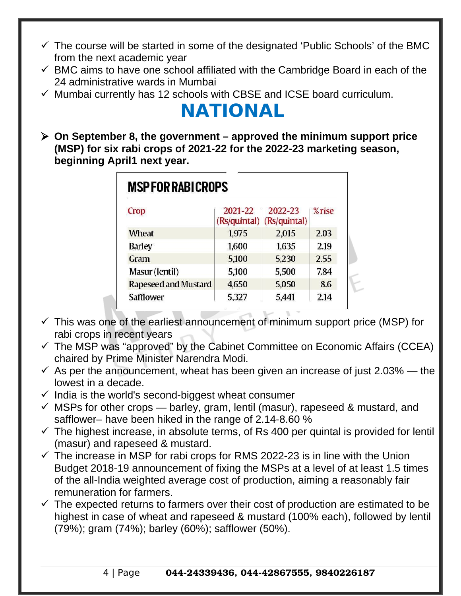- $\checkmark$  The course will be started in some of the designated 'Public Schools' of the BMC from the next academic year
- $\checkmark$  BMC aims to have one school affiliated with the Cambridge Board in each of the 24 administrative wards in Mumbai
- $\checkmark$  Mumbai currently has 12 schools with CBSE and ICSE board curriculum.

# **NATIONAL**

 **On September 8, the government – approved the minimum support price (MSP) for six rabi crops of 2021-22 for the 2022-23 marketing season, beginning April1 next year.**

| Crop                 | 2021-22      | 2022-23      | %rise |
|----------------------|--------------|--------------|-------|
|                      | (Rs/quintal) | (Rs/quintal) |       |
| <b>Wheat</b>         | 1,975        | 2,015        | 2.03  |
| Barley               | 1,600        | 1,635        | 2.19  |
| Gram                 | 5,100        | 5,230        | 2.55  |
| Masur (lentil)       | 5,100        | 5,500        | 7.84  |
| Rapeseed and Mustard | 4,650        | 5,050        | 8.6   |
| <b>Safflower</b>     | 5,327        | 5,441        | 2.14  |

- $\checkmark$  This was one of the earliest announcement of minimum support price (MSP) for rabi crops in recent years
- $\checkmark$  The MSP was "approved" by the Cabinet Committee on Economic Affairs (CCEA) chaired by Prime Minister Narendra Modi.
- $\checkmark$  As per the announcement, wheat has been given an increase of just 2.03% the lowest in a decade.
- $\checkmark$  India is the world's second-biggest wheat consumer
- $\checkmark$  MSPs for other crops barley, gram, lentil (masur), rapeseed & mustard, and safflower– have been hiked in the range of 2.14-8.60 %
- $\checkmark$  The highest increase, in absolute terms, of Rs 400 per quintal is provided for lentil (masur) and rapeseed & mustard.
- $\checkmark$  The increase in MSP for rabi crops for RMS 2022-23 is in line with the Union Budget 2018-19 announcement of fixing the MSPs at a level of at least 1.5 times of the all-India weighted average cost of production, aiming a reasonably fair remuneration for farmers.
- $\checkmark$  The expected returns to farmers over their cost of production are estimated to be highest in case of wheat and rapeseed & mustard (100% each), followed by lentil (79%); gram (74%); barley (60%); safflower (50%).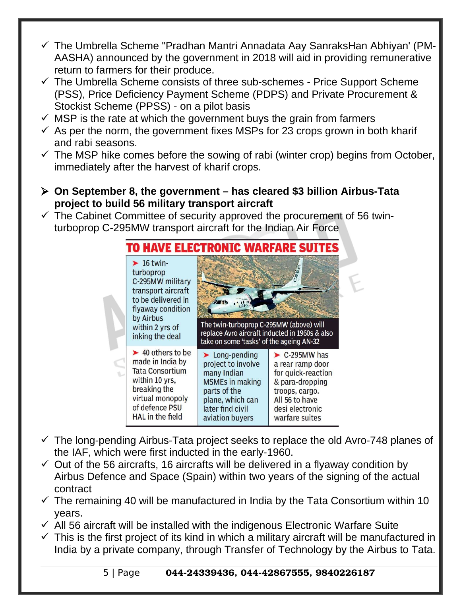- The Umbrella Scheme "Pradhan Mantri Annadata Aay SanraksHan Abhiyan' (PM-AASHA) announced by the government in 2018 will aid in providing remunerative return to farmers for their produce.
- $\checkmark$  The Umbrella Scheme consists of three sub-schemes Price Support Scheme (PSS), Price Deficiency Payment Scheme (PDPS) and Private Procurement & Stockist Scheme (PPSS) - on a pilot basis
- $\checkmark$  MSP is the rate at which the government buys the grain from farmers
- $\checkmark$  As per the norm, the government fixes MSPs for 23 crops grown in both kharif and rabi seasons.
- $\checkmark$  The MSP hike comes before the sowing of rabi (winter crop) begins from October, immediately after the harvest of kharif crops.
- **On September 8, the government has cleared \$3 billion Airbus-Tata project to build 56 military transport aircraft**
- $\checkmark$  The Cabinet Committee of security approved the procurement of 56 twinturboprop C-295MW transport aircraft for the Indian Air Force



- $\checkmark$  The long-pending Airbus-Tata project seeks to replace the old Avro-748 planes of the IAF, which were first inducted in the early-1960.
- $\checkmark$  Out of the 56 aircrafts, 16 aircrafts will be delivered in a flyaway condition by Airbus Defence and Space (Spain) within two years of the signing of the actual contract
- $\checkmark$  The remaining 40 will be manufactured in India by the Tata Consortium within 10 years.
- $\checkmark$  All 56 aircraft will be installed with the indigenous Electronic Warfare Suite
- $\checkmark$  This is the first project of its kind in which a military aircraft will be manufactured in India by a private company, through Transfer of Technology by the Airbus to Tata.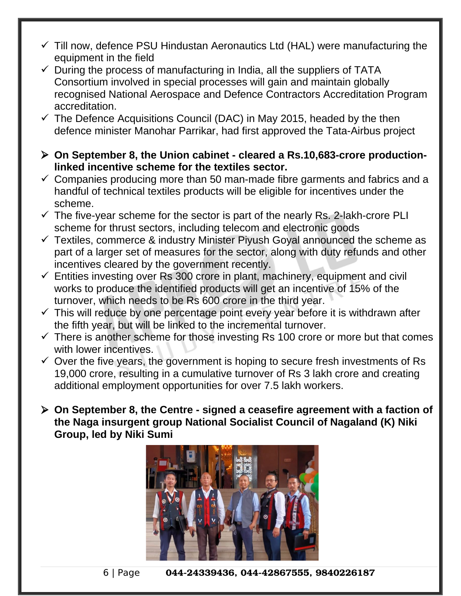- $\checkmark$  Till now, defence PSU Hindustan Aeronautics Ltd (HAL) were manufacturing the equipment in the field
- $\checkmark$  During the process of manufacturing in India, all the suppliers of TATA Consortium involved in special processes will gain and maintain globally recognised National Aerospace and Defence Contractors Accreditation Program accreditation.
- $\checkmark$  The Defence Acquisitions Council (DAC) in May 2015, headed by the then defence minister Manohar Parrikar, had first approved the Tata-Airbus project
- **On September 8, the Union cabinet cleared a Rs.10,683-crore productionlinked incentive scheme for the textiles sector.**
- $\checkmark$  Companies producing more than 50 man-made fibre garments and fabrics and a handful of technical textiles products will be eligible for incentives under the scheme.
- $\checkmark$  The five-year scheme for the sector is part of the nearly Rs. 2-lakh-crore PLI scheme for thrust sectors, including telecom and electronic goods
- $\checkmark$  Textiles, commerce & industry Minister Piyush Goyal announced the scheme as part of a larger set of measures for the sector, along with duty refunds and other incentives cleared by the government recently.
- $\checkmark$  Entities investing over Rs 300 crore in plant, machinery, equipment and civil works to produce the identified products will get an incentive of 15% of the turnover, which needs to be Rs 600 crore in the third year.
- $\checkmark$  This will reduce by one percentage point every year before it is withdrawn after the fifth year, but will be linked to the incremental turnover.
- $\checkmark$  There is another scheme for those investing Rs 100 crore or more but that comes with lower incentives.
- $\checkmark$  Over the five years, the government is hoping to secure fresh investments of Rs 19,000 crore, resulting in a cumulative turnover of Rs 3 lakh crore and creating additional employment opportunities for over 7.5 lakh workers.
- **On September 8, the Centre signed a ceasefire agreement with a faction of the Naga insurgent group National Socialist Council of Nagaland (K) Niki Group, led by Niki Sumi**



6 | Page 044-24339436, 044-42867555, 9840226187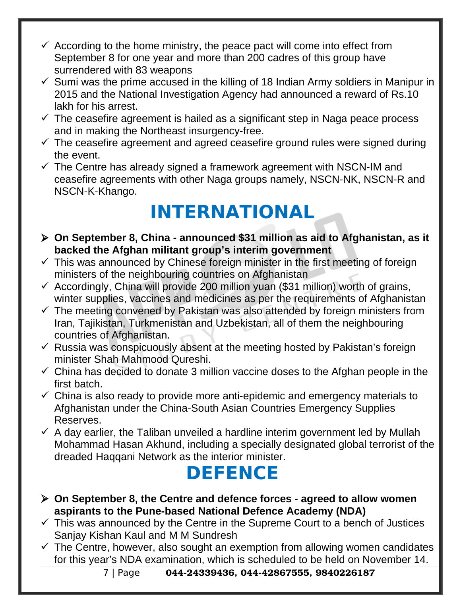- $\checkmark$  According to the home ministry, the peace pact will come into effect from September 8 for one year and more than 200 cadres of this group have surrendered with 83 weapons
- $\checkmark$  Sumi was the prime accused in the killing of 18 Indian Army soldiers in Manipur in 2015 and the National Investigation Agency had announced a reward of Rs.10 lakh for his arrest.
- $\checkmark$  The ceasefire agreement is hailed as a significant step in Naga peace process and in making the Northeast insurgency-free.
- $\checkmark$  The ceasefire agreement and agreed ceasefire ground rules were signed during the event.
- $\checkmark$  The Centre has already signed a framework agreement with NSCN-IM and ceasefire agreements with other Naga groups namely, NSCN-NK, NSCN-R and NSCN-K-Khango.

# **INTERNATIONAL**

- **On September 8, China announced \$31 million as aid to Afghanistan, as it backed the Afghan militant group's interim government**
- $\checkmark$  This was announced by Chinese foreign minister in the first meeting of foreign ministers of the neighbouring countries on Afghanistan
- $\checkmark$  Accordingly, China will provide 200 million yuan (\$31 million) worth of grains, winter supplies, vaccines and medicines as per the requirements of Afghanistan
- $\checkmark$  The meeting convened by Pakistan was also attended by foreign ministers from Iran, Tajikistan, Turkmenistan and Uzbekistan, all of them the neighbouring countries of Afghanistan.
- $\checkmark$  Russia was conspicuously absent at the meeting hosted by Pakistan's foreign minister Shah Mahmood Qureshi.
- $\checkmark$  China has decided to donate 3 million vaccine doses to the Afghan people in the first batch.
- $\checkmark$  China is also ready to provide more anti-epidemic and emergency materials to Afghanistan under the China-South Asian Countries Emergency Supplies Reserves.
- $\checkmark$  A day earlier, the Taliban unveiled a hardline interim government led by Mullah Mohammad Hasan Akhund, including a specially designated global terrorist of the dreaded Haqqani Network as the interior minister.

# **DEFENCE**

- **On September 8, the Centre and defence forces agreed to allow women aspirants to the Pune-based National Defence Academy (NDA)**
- $\checkmark$  This was announced by the Centre in the Supreme Court to a bench of Justices Sanjay Kishan Kaul and M M Sundresh
- $\checkmark$  The Centre, however, also sought an exemption from allowing women candidates for this year's NDA examination, which is scheduled to be held on November 14.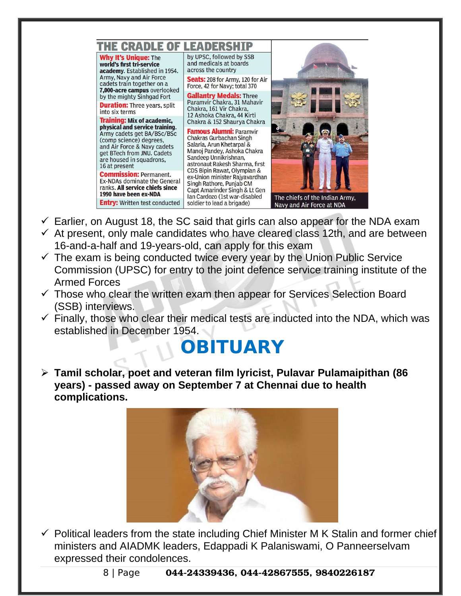

- $\checkmark$  Earlier, on August 18, the SC said that girls can also appear for the NDA exam  $\checkmark$  At present, only male candidates who have cleared class 12th, and are between 16-and-a-half and 19-years-old, can apply for this exam
- $\checkmark$  The exam is being conducted twice every year by the Union Public Service Commission (UPSC) for entry to the joint defence service training institute of the Armed Forces
- $\checkmark$  Those who clear the written exam then appear for Services Selection Board (SSB) interviews.
- $\checkmark$  Finally, those who clear their medical tests are inducted into the NDA, which was established in December 1954.

# **OBITUARY**

 **Tamil scholar, poet and veteran film lyricist, Pulavar Pulamaipithan (86 years) - passed away on September 7 at Chennai due to health complications.**



 $\checkmark$  Political leaders from the state including Chief Minister M K Stalin and former chief ministers and AIADMK leaders, Edappadi K Palaniswami, O Panneerselvam expressed their condolences.